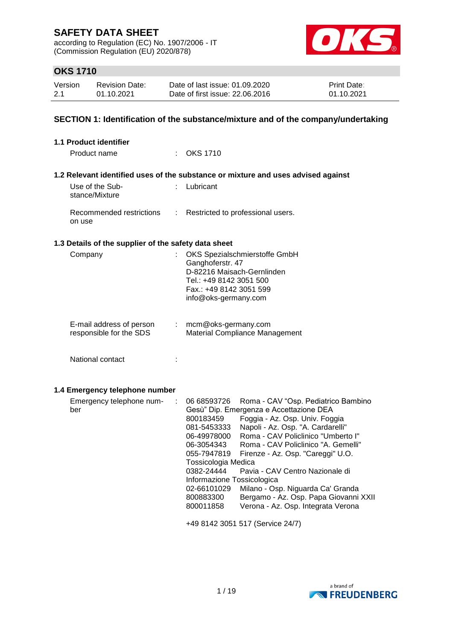according to Regulation (EC) No. 1907/2006 - IT (Commission Regulation (EU) 2020/878)



## **OKS 1710**

| Version | <b>Revision Date:</b> | Date of last issue: 01.09.2020  | <b>Print Date:</b> |
|---------|-----------------------|---------------------------------|--------------------|
| 2.1     | 01.10.2021            | Date of first issue: 22.06.2016 | 01.10.2021         |

## **SECTION 1: Identification of the substance/mixture and of the company/undertaking**

| 1.1 Product identifier                               |                                                                                                                                                                                                                                                                                                                                                                                                                                                                                                                                                                                                                                   |
|------------------------------------------------------|-----------------------------------------------------------------------------------------------------------------------------------------------------------------------------------------------------------------------------------------------------------------------------------------------------------------------------------------------------------------------------------------------------------------------------------------------------------------------------------------------------------------------------------------------------------------------------------------------------------------------------------|
| Product name                                         | : OKS 1710                                                                                                                                                                                                                                                                                                                                                                                                                                                                                                                                                                                                                        |
|                                                      | 1.2 Relevant identified uses of the substance or mixture and uses advised against                                                                                                                                                                                                                                                                                                                                                                                                                                                                                                                                                 |
| Use of the Sub-<br>stance/Mixture                    | : Lubricant                                                                                                                                                                                                                                                                                                                                                                                                                                                                                                                                                                                                                       |
| Recommended restrictions<br>÷<br>on use              | Restricted to professional users.                                                                                                                                                                                                                                                                                                                                                                                                                                                                                                                                                                                                 |
| 1.3 Details of the supplier of the safety data sheet |                                                                                                                                                                                                                                                                                                                                                                                                                                                                                                                                                                                                                                   |
| Company<br>÷                                         | OKS Spezialschmierstoffe GmbH<br>Ganghoferstr. 47<br>D-82216 Maisach-Gernlinden<br>Tel.: +49 8142 3051 500<br>Fax.: +49 8142 3051 599<br>info@oks-germany.com                                                                                                                                                                                                                                                                                                                                                                                                                                                                     |
| E-mail address of person<br>responsible for the SDS  | mcm@oks-germany.com<br>Material Compliance Management                                                                                                                                                                                                                                                                                                                                                                                                                                                                                                                                                                             |
| National contact<br>÷                                |                                                                                                                                                                                                                                                                                                                                                                                                                                                                                                                                                                                                                                   |
| 1.4 Emergency telephone number                       |                                                                                                                                                                                                                                                                                                                                                                                                                                                                                                                                                                                                                                   |
| Emergency telephone num-<br>÷<br>ber                 | 06 68593726<br>Roma - CAV "Osp. Pediatrico Bambino<br>Gesù" Dip. Emergenza e Accettazione DEA<br>800183459<br>Foggia - Az. Osp. Univ. Foggia<br>Napoli - Az. Osp. "A. Cardarelli"<br>081-5453333<br>Roma - CAV Policlinico "Umberto I"<br>06-49978000<br>Roma - CAV Policlinico "A. Gemelli"<br>06-3054343<br>055-7947819<br>Firenze - Az. Osp. "Careggi" U.O.<br>Tossicologia Medica<br>0382-24444<br>Pavia - CAV Centro Nazionale di<br>Informazione Tossicologica<br>02-66101029<br>Milano - Osp. Niguarda Ca' Granda<br>Bergamo - Az. Osp. Papa Giovanni XXII<br>800883300<br>Verona - Az. Osp. Integrata Verona<br>800011858 |
|                                                      | +49 8142 3051 517 (Service 24/7)                                                                                                                                                                                                                                                                                                                                                                                                                                                                                                                                                                                                  |

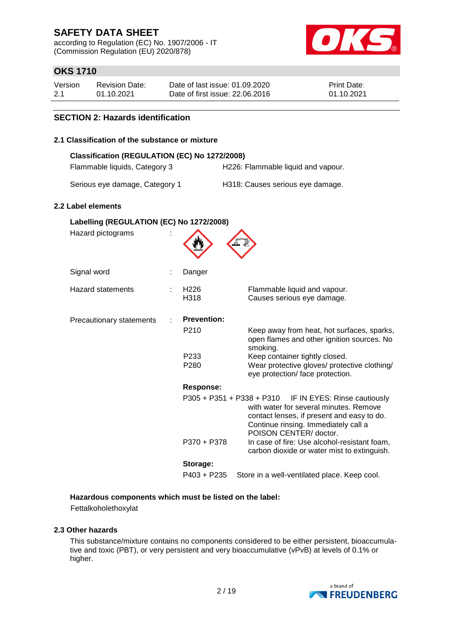according to Regulation (EC) No. 1907/2006 - IT (Commission Regulation (EU) 2020/878)



## **OKS 1710**

| Version | <b>Revision Date:</b> | Date of last issue: 01.09.2020  | <b>Print Date:</b> |
|---------|-----------------------|---------------------------------|--------------------|
| 2.1     | 01.10.2021            | Date of first issue: 22,06,2016 | 01.10.2021         |

### **SECTION 2: Hazards identification**

#### **2.1 Classification of the substance or mixture**

| 2.1 Classification of the substance or mixture                                 |                          |                                                                                                                                                                                                                    |
|--------------------------------------------------------------------------------|--------------------------|--------------------------------------------------------------------------------------------------------------------------------------------------------------------------------------------------------------------|
| Classification (REGULATION (EC) No 1272/2008)<br>Flammable liquids, Category 3 |                          | H226: Flammable liquid and vapour.                                                                                                                                                                                 |
| Serious eye damage, Category 1                                                 |                          | H318: Causes serious eye damage.                                                                                                                                                                                   |
| 2.2 Label elements                                                             |                          |                                                                                                                                                                                                                    |
| Labelling (REGULATION (EC) No 1272/2008)<br>Hazard pictograms                  |                          |                                                                                                                                                                                                                    |
| Signal word                                                                    | Danger                   |                                                                                                                                                                                                                    |
| <b>Hazard statements</b>                                                       | H <sub>226</sub><br>H318 | Flammable liquid and vapour.<br>Causes serious eye damage.                                                                                                                                                         |
| Precautionary statements                                                       | <b>Prevention:</b>       |                                                                                                                                                                                                                    |
|                                                                                | P210                     | Keep away from heat, hot surfaces, sparks,<br>open flames and other ignition sources. No<br>smoking.                                                                                                               |
|                                                                                | P <sub>233</sub><br>P280 | Keep container tightly closed.<br>Wear protective gloves/ protective clothing/<br>eye protection/ face protection.                                                                                                 |
|                                                                                | <b>Response:</b>         |                                                                                                                                                                                                                    |
|                                                                                |                          | IF IN EYES: Rinse cautiously<br>P305 + P351 + P338 + P310<br>with water for several minutes. Remove<br>contact lenses, if present and easy to do.<br>Continue rinsing. Immediately call a<br>POISON CENTER/doctor. |
|                                                                                | P370 + P378              | In case of fire: Use alcohol-resistant foam,<br>carbon dioxide or water mist to extinguish.                                                                                                                        |
|                                                                                | Storage:                 |                                                                                                                                                                                                                    |
|                                                                                | $P403 + P235$            | Store in a well-ventilated place. Keep cool.                                                                                                                                                                       |

#### **Hazardous components which must be listed on the label:**

Fettalkoholethoxylat

#### **2.3 Other hazards**

This substance/mixture contains no components considered to be either persistent, bioaccumulative and toxic (PBT), or very persistent and very bioaccumulative (vPvB) at levels of 0.1% or higher.

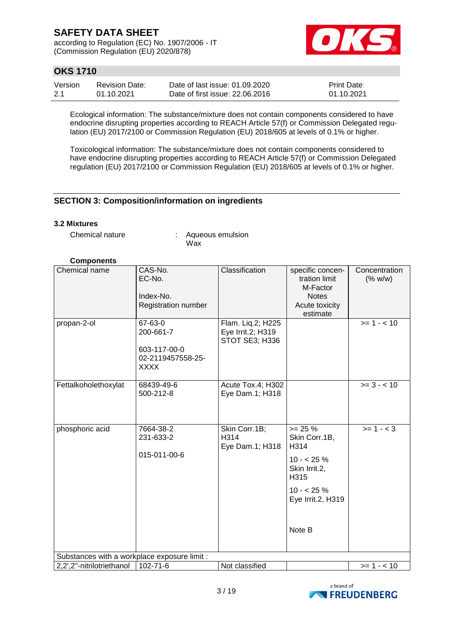according to Regulation (EC) No. 1907/2006 - IT (Commission Regulation (EU) 2020/878)



## **OKS 1710**

| Version | <b>Revision Date:</b> | Date of last issue: 01.09.2020  | <b>Print Date:</b> |
|---------|-----------------------|---------------------------------|--------------------|
| 2.1     | 01.10.2021            | Date of first issue: 22,06,2016 | 01.10.2021         |

Ecological information: The substance/mixture does not contain components considered to have endocrine disrupting properties according to REACH Article 57(f) or Commission Delegated regulation (EU) 2017/2100 or Commission Regulation (EU) 2018/605 at levels of 0.1% or higher.

Toxicological information: The substance/mixture does not contain components considered to have endocrine disrupting properties according to REACH Article 57(f) or Commission Delegated regulation (EU) 2017/2100 or Commission Regulation (EU) 2018/605 at levels of 0.1% or higher.

### **SECTION 3: Composition/information on ingredients**

#### **3.2 Mixtures**

Chemical nature : Aqueous emulsion Wax

#### **Components**

| Chemical name                                                             | CAS-No.<br>EC-No.<br>Index-No.<br>Registration number                    | Classification                                           | specific concen-<br>tration limit<br>M-Factor<br><b>Notes</b><br>Acute toxicity                                                    | Concentration<br>(% w/w) |
|---------------------------------------------------------------------------|--------------------------------------------------------------------------|----------------------------------------------------------|------------------------------------------------------------------------------------------------------------------------------------|--------------------------|
| propan-2-ol                                                               | 67-63-0<br>200-661-7<br>603-117-00-0<br>02-2119457558-25-<br><b>XXXX</b> | Flam. Lig.2; H225<br>Eye Irrit.2; H319<br>STOT SE3; H336 | estimate                                                                                                                           | $>= 1 - 10$              |
| Fettalkoholethoxylat                                                      | 68439-49-6<br>500-212-8                                                  | Acute Tox.4; H302<br>Eye Dam.1; H318                     |                                                                                                                                    | $>= 3 - < 10$            |
| phosphoric acid                                                           | 7664-38-2<br>231-633-2<br>015-011-00-6                                   | Skin Corr.1B;<br>H314<br>Eye Dam.1; H318                 | $>= 25 %$<br>Skin Corr.1B,<br>H <sub>314</sub><br>$10 - 25%$<br>Skin Irrit.2,<br>H315<br>$10 - 25%$<br>Eye Irrit.2, H319<br>Note B | $>= 1 - 3$               |
| Substances with a workplace exposure limit :<br>2,2',2"-nitrilotriethanol | 102-71-6                                                                 | Not classified                                           |                                                                                                                                    | $>= 1 - 10$              |
|                                                                           |                                                                          |                                                          |                                                                                                                                    |                          |

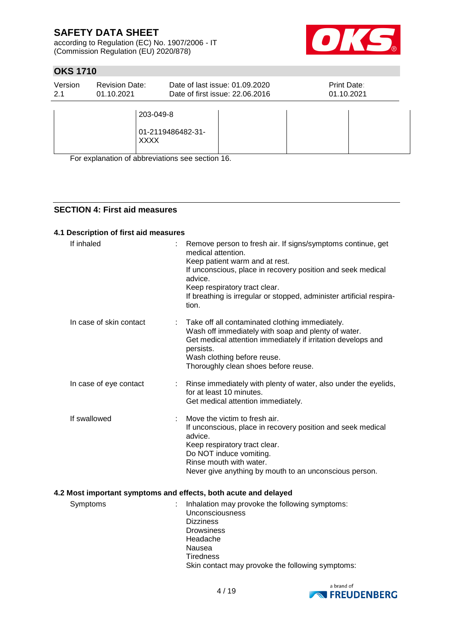according to Regulation (EC) No. 1907/2006 - IT (Commission Regulation (EU) 2020/878)



## **OKS 1710**

| Version | <b>Revision Date:</b>    | Date of last issue: 01.09.2020  | Print Date: |
|---------|--------------------------|---------------------------------|-------------|
| 2.1     | 01.10.2021               | Date of first issue: 22,06,2016 | 01.10.2021  |
|         | 203-049-8<br><b>XXXX</b> | 01-2119486482-31-               |             |

For explanation of abbreviations see section 16.

### **SECTION 4: First aid measures**

#### **4.1 Description of first aid measures**

| If inhaled              | Remove person to fresh air. If signs/symptoms continue, get<br>medical attention.<br>Keep patient warm and at rest.<br>If unconscious, place in recovery position and seek medical<br>advice.<br>Keep respiratory tract clear.<br>If breathing is irregular or stopped, administer artificial respira-<br>tion. |
|-------------------------|-----------------------------------------------------------------------------------------------------------------------------------------------------------------------------------------------------------------------------------------------------------------------------------------------------------------|
| In case of skin contact | Take off all contaminated clothing immediately.<br>Wash off immediately with soap and plenty of water.<br>Get medical attention immediately if irritation develops and<br>persists.<br>Wash clothing before reuse.<br>Thoroughly clean shoes before reuse.                                                      |
| In case of eye contact  | Rinse immediately with plenty of water, also under the eyelids,<br>for at least 10 minutes.<br>Get medical attention immediately.                                                                                                                                                                               |
| If swallowed            | Move the victim to fresh air.<br>If unconscious, place in recovery position and seek medical<br>advice.<br>Keep respiratory tract clear.<br>Do NOT induce vomiting.<br>Rinse mouth with water.<br>Never give anything by mouth to an unconscious person.                                                        |
|                         | 4.2 Most important symptoms and effects, both acute and delayed                                                                                                                                                                                                                                                 |

Symptoms : Inhalation may provoke the following symptoms: Unconsciousness **Dizziness Drowsiness** Headache Nausea **Tiredness** Skin contact may provoke the following symptoms:

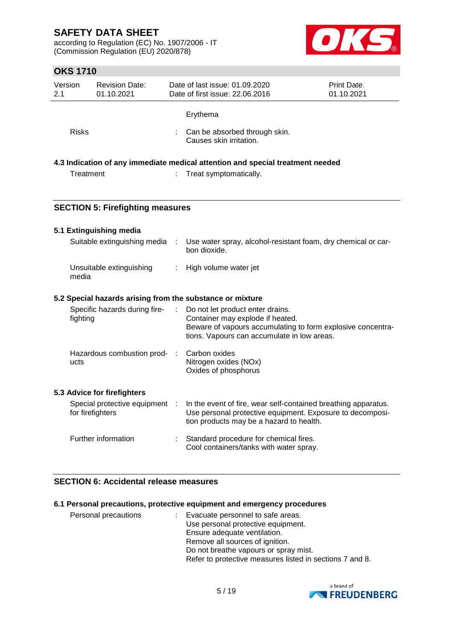according to Regulation (EC) No. 1907/2006 - IT (Commission Regulation (EU) 2020/878)



## **OKS 1710**

|                | <b>OKS 1710</b>                                  |               |                                                                                                                                                                                    |                           |
|----------------|--------------------------------------------------|---------------|------------------------------------------------------------------------------------------------------------------------------------------------------------------------------------|---------------------------|
| Version<br>2.1 | <b>Revision Date:</b><br>01.10.2021              |               | Date of last issue: 01.09.2020<br>Date of first issue: 22.06.2016                                                                                                                  | Print Date:<br>01.10.2021 |
|                |                                                  |               | Erythema                                                                                                                                                                           |                           |
| <b>Risks</b>   |                                                  |               | Can be absorbed through skin.<br>Causes skin irritation.                                                                                                                           |                           |
|                |                                                  |               | 4.3 Indication of any immediate medical attention and special treatment needed                                                                                                     |                           |
| Treatment      |                                                  |               | Treat symptomatically.                                                                                                                                                             |                           |
|                | <b>SECTION 5: Firefighting measures</b>          |               |                                                                                                                                                                                    |                           |
|                | 5.1 Extinguishing media                          |               |                                                                                                                                                                                    |                           |
|                | Suitable extinguishing media                     | $\mathcal{L}$ | Use water spray, alcohol-resistant foam, dry chemical or car-<br>bon dioxide.                                                                                                      |                           |
| media          | Unsuitable extinguishing                         | ÷             | High volume water jet                                                                                                                                                              |                           |
|                |                                                  |               | 5.2 Special hazards arising from the substance or mixture                                                                                                                          |                           |
| fighting       | Specific hazards during fire-                    |               | Do not let product enter drains.<br>Container may explode if heated.<br>Beware of vapours accumulating to form explosive concentra-<br>tions. Vapours can accumulate in low areas. |                           |
| ucts           | Hazardous combustion prod- :                     |               | Carbon oxides<br>Nitrogen oxides (NOx)<br>Oxides of phosphorus                                                                                                                     |                           |
|                | 5.3 Advice for firefighters                      |               |                                                                                                                                                                                    |                           |
|                | Special protective equipment<br>for firefighters |               | In the event of fire, wear self-contained breathing apparatus.<br>Use personal protective equipment. Exposure to decomposi-<br>tion products may be a hazard to health.            |                           |
|                | Further information                              | ÷             | Standard procedure for chemical fires.                                                                                                                                             |                           |

### **6.1 Personal precautions, protective equipment and emergency procedures**

| Personal precautions | Evacuate personnel to safe areas.                        |
|----------------------|----------------------------------------------------------|
|                      | Use personal protective equipment.                       |
|                      | Ensure adequate ventilation.                             |
|                      | Remove all sources of ignition.                          |
|                      | Do not breathe vapours or spray mist.                    |
|                      | Refer to protective measures listed in sections 7 and 8. |

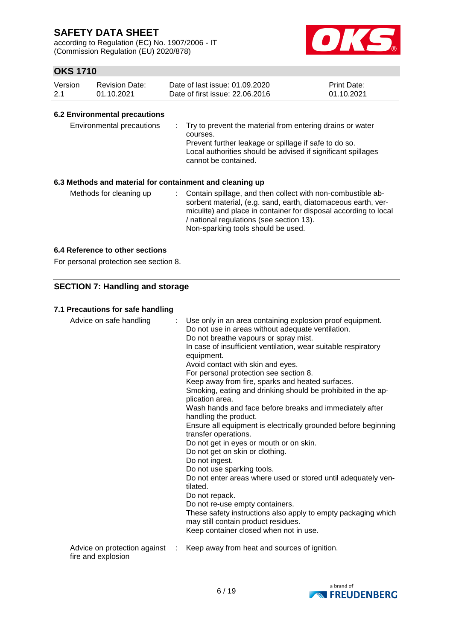according to Regulation (EC) No. 1907/2006 - IT (Commission Regulation (EU) 2020/878)



## **OKS 1710**

| Version | Revision Date: | Date of last issue: 01.09.2020  | <b>Print Date:</b> |
|---------|----------------|---------------------------------|--------------------|
| 2.1     | 01.10.2021     | Date of first issue: 22,06,2016 | 01.10.2021         |

#### **6.2 Environmental precautions**

| Environmental precautions<br>6.3 Methods and material for containment and cleaning up | : Try to prevent the material from entering drains or water<br>courses.<br>Prevent further leakage or spillage if safe to do so.<br>Local authorities should be advised if significant spillages<br>cannot be contained. |  |
|---------------------------------------------------------------------------------------|--------------------------------------------------------------------------------------------------------------------------------------------------------------------------------------------------------------------------|--|
| Methods for cleaning up                                                               | Contain spillage, and then collect with non-combustible ab-<br>sorbent material, (e.g. sand, earth, diatomaceous earth, ver-                                                                                             |  |

/ national regulations (see section 13). Non-sparking tools should be used.

miculite) and place in container for disposal according to local

#### **6.4 Reference to other sections**

For personal protection see section 8.

### **SECTION 7: Handling and storage**

#### **7.1 Precautions for safe handling**

| Advice on safe handling                            | Use only in an area containing explosion proof equipment.<br>Do not use in areas without adequate ventilation.<br>Do not breathe vapours or spray mist.<br>In case of insufficient ventilation, wear suitable respiratory<br>equipment.<br>Avoid contact with skin and eyes.<br>For personal protection see section 8.<br>Keep away from fire, sparks and heated surfaces.<br>Smoking, eating and drinking should be prohibited in the ap-<br>plication area.<br>Wash hands and face before breaks and immediately after<br>handling the product.<br>Ensure all equipment is electrically grounded before beginning<br>transfer operations.<br>Do not get in eyes or mouth or on skin.<br>Do not get on skin or clothing.<br>Do not ingest.<br>Do not use sparking tools.<br>Do not enter areas where used or stored until adequately ven-<br>tilated.<br>Do not repack.<br>Do not re-use empty containers.<br>These safety instructions also apply to empty packaging which<br>may still contain product residues.<br>Keep container closed when not in use. |
|----------------------------------------------------|---------------------------------------------------------------------------------------------------------------------------------------------------------------------------------------------------------------------------------------------------------------------------------------------------------------------------------------------------------------------------------------------------------------------------------------------------------------------------------------------------------------------------------------------------------------------------------------------------------------------------------------------------------------------------------------------------------------------------------------------------------------------------------------------------------------------------------------------------------------------------------------------------------------------------------------------------------------------------------------------------------------------------------------------------------------|
| Advice on protection against<br>fire and explosion | Keep away from heat and sources of ignition.                                                                                                                                                                                                                                                                                                                                                                                                                                                                                                                                                                                                                                                                                                                                                                                                                                                                                                                                                                                                                  |

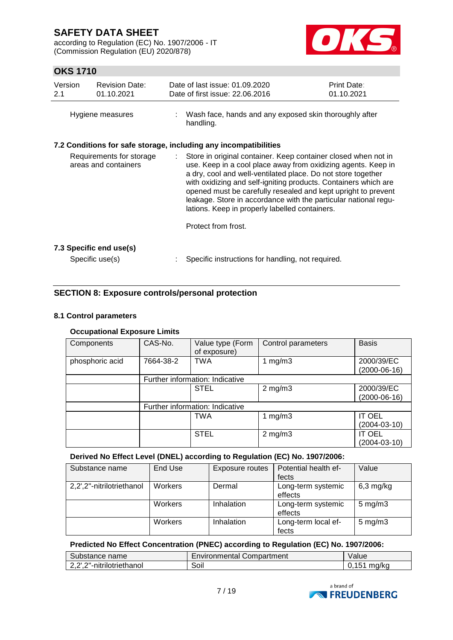according to Regulation (EC) No. 1907/2006 - IT (Commission Regulation (EU) 2020/878)



## **OKS 1710**

| Version<br>2.1                                                                                                       | <b>Revision Date:</b><br>01.10.2021 |  | Date of last issue: 01.09.2020<br>Print Date:<br>Date of first issue: 22.06.2016<br>01.10.2021                                                                                                                                                                                                                                                                                                                                                                                  |  |  |
|----------------------------------------------------------------------------------------------------------------------|-------------------------------------|--|---------------------------------------------------------------------------------------------------------------------------------------------------------------------------------------------------------------------------------------------------------------------------------------------------------------------------------------------------------------------------------------------------------------------------------------------------------------------------------|--|--|
| Hygiene measures                                                                                                     |                                     |  | Wash face, hands and any exposed skin thoroughly after<br>handling.                                                                                                                                                                                                                                                                                                                                                                                                             |  |  |
|                                                                                                                      |                                     |  |                                                                                                                                                                                                                                                                                                                                                                                                                                                                                 |  |  |
| 7.2 Conditions for safe storage, including any incompatibilities<br>Requirements for storage<br>areas and containers |                                     |  | Store in original container. Keep container closed when not in<br>use. Keep in a cool place away from oxidizing agents. Keep in<br>a dry, cool and well-ventilated place. Do not store together<br>with oxidizing and self-igniting products. Containers which are<br>opened must be carefully resealed and kept upright to prevent<br>leakage. Store in accordance with the particular national regu-<br>lations. Keep in properly labelled containers.<br>Protect from frost. |  |  |
|                                                                                                                      |                                     |  |                                                                                                                                                                                                                                                                                                                                                                                                                                                                                 |  |  |
|                                                                                                                      | 7.3 Specific end use(s)             |  |                                                                                                                                                                                                                                                                                                                                                                                                                                                                                 |  |  |
|                                                                                                                      | Specific use(s)                     |  | Specific instructions for handling, not required.                                                                                                                                                                                                                                                                                                                                                                                                                               |  |  |

## **SECTION 8: Exposure controls/personal protection**

### **8.1 Control parameters**

### **Occupational Exposure Limits**

| Components      | CAS-No.   | Value type (Form<br>of exposure) | Control parameters | <b>Basis</b>       |
|-----------------|-----------|----------------------------------|--------------------|--------------------|
| phosphoric acid | 7664-38-2 |                                  | 1 $mg/m3$          | 2000/39/EC         |
|                 |           |                                  |                    | $(2000-06-16)$     |
|                 |           | Further information: Indicative  |                    |                    |
|                 |           | <b>STEL</b>                      | $2$ mg/m $3$       | 2000/39/EC         |
|                 |           |                                  |                    | $(2000-06-16)$     |
|                 |           | Further information: Indicative  |                    |                    |
|                 |           | TWA                              | 1 $mg/m3$          | <b>IT OEL</b>      |
|                 |           |                                  |                    | $(2004 - 03 - 10)$ |
|                 |           | <b>STEL</b>                      | $2$ mg/m $3$       | <b>IT OEL</b>      |
|                 |           |                                  |                    | $(2004 - 03 - 10)$ |

### **Derived No Effect Level (DNEL) according to Regulation (EC) No. 1907/2006:**

| Substance name            | End Use        | Exposure routes | Potential health ef-          | Value              |
|---------------------------|----------------|-----------------|-------------------------------|--------------------|
|                           |                |                 | fects                         |                    |
| 2,2',2"-nitrilotriethanol | Workers        | Dermal          | Long-term systemic<br>effects | $6,3$ mg/kg        |
|                           | <b>Workers</b> | Inhalation      | Long-term systemic<br>effects | $5 \text{ mg/m}$ 3 |
|                           | Workers        | Inhalation      | Long-term local ef-<br>fects  | $5 \text{ mg/m}$ 3 |

### **Predicted No Effect Concentration (PNEC) according to Regulation (EC) No. 1907/2006:**

| Substance name            | Environmental Compartment | 'alue              |
|---------------------------|---------------------------|--------------------|
| 2,2',2"-nitrilotriethanol | Soil                      | ma/ka<br><b>15</b> |

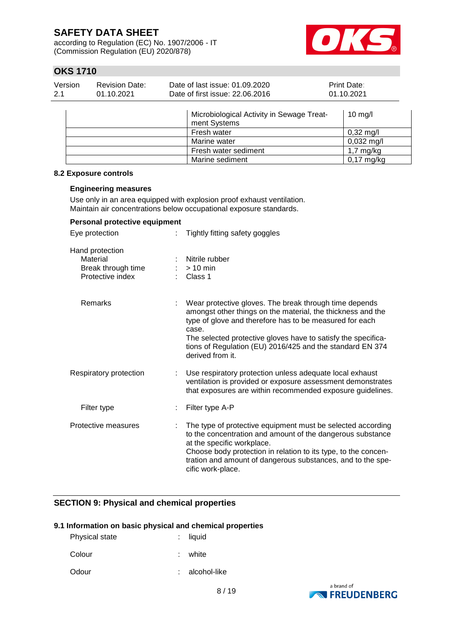according to Regulation (EC) No. 1907/2006 - IT (Commission Regulation (EU) 2020/878)



## **OKS 1710**

| Version<br>2.1 | <b>Revision Date:</b><br>01.10.2021 | Date of last issue: 01.09.2020<br>Date of first issue: 22.06.2016 | Print Date:<br>01.10.2021 |  |
|----------------|-------------------------------------|-------------------------------------------------------------------|---------------------------|--|
|                |                                     | Microbiological Activity in Sewage Treat-<br>ment Systems         | $10$ mg/l                 |  |
|                |                                     | Fresh water                                                       | $0,32 \text{ mg/l}$       |  |
|                |                                     | Marine water                                                      | $0,032 \text{ mg/l}$      |  |
|                |                                     | Fresh water sediment                                              | $1,7 \text{ mg/kg}$       |  |
|                |                                     | Marine sediment                                                   | $0,17 \text{ mg/kg}$      |  |

#### **8.2 Exposure controls**

#### **Engineering measures**

Use only in an area equipped with explosion proof exhaust ventilation. entrations below occupational exposure standard

| Maintain air concentrations below occupational exposure standards.    |    |                                                                                                                                                                                                                                                                                                                                             |  |  |  |  |
|-----------------------------------------------------------------------|----|---------------------------------------------------------------------------------------------------------------------------------------------------------------------------------------------------------------------------------------------------------------------------------------------------------------------------------------------|--|--|--|--|
| Personal protective equipment                                         |    |                                                                                                                                                                                                                                                                                                                                             |  |  |  |  |
| Eye protection                                                        |    | Tightly fitting safety goggles                                                                                                                                                                                                                                                                                                              |  |  |  |  |
| Hand protection<br>Material<br>Break through time<br>Protective index |    | Nitrile rubber<br>$> 10$ min<br>$\therefore$ Class 1                                                                                                                                                                                                                                                                                        |  |  |  |  |
| Remarks                                                               |    | Wear protective gloves. The break through time depends<br>amongst other things on the material, the thickness and the<br>type of glove and therefore has to be measured for each<br>case.<br>The selected protective gloves have to satisfy the specifica-<br>tions of Regulation (EU) 2016/425 and the standard EN 374<br>derived from it. |  |  |  |  |
| Respiratory protection                                                |    | Use respiratory protection unless adequate local exhaust<br>ventilation is provided or exposure assessment demonstrates<br>that exposures are within recommended exposure guidelines.                                                                                                                                                       |  |  |  |  |
| Filter type                                                           | ÷. | Filter type A-P                                                                                                                                                                                                                                                                                                                             |  |  |  |  |
| Protective measures                                                   |    | The type of protective equipment must be selected according<br>to the concentration and amount of the dangerous substance<br>at the specific workplace.                                                                                                                                                                                     |  |  |  |  |

Choose body protection in relation to its type, to the concentration and amount of dangerous substances, and to the specific work-place.

### **SECTION 9: Physical and chemical properties**

#### **9.1 Information on basic physical and chemical properties**

| <b>Physical state</b> | $:$ liquid   |
|-----------------------|--------------|
| Colour                | : white      |
| Odour                 | alcohol-like |

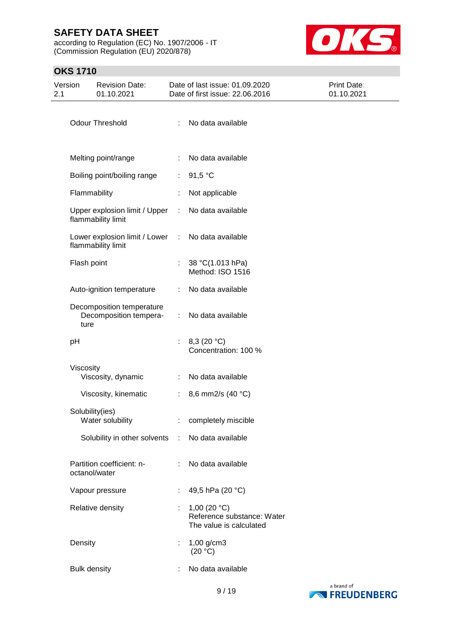according to Regulation (EC) No. 1907/2006 - IT (Commission Regulation (EU) 2020/878)



# **OKS 1710**

| Version<br>2.1 | <b>Revision Date:</b><br>01.10.2021                         |    | Date of last issue: 01.09.2020<br>Date of first issue: 22.06.2016       | Print Date:<br>01.10.2021 |
|----------------|-------------------------------------------------------------|----|-------------------------------------------------------------------------|---------------------------|
|                | Odour Threshold                                             |    | No data available                                                       |                           |
|                | Melting point/range                                         | ÷  | No data available                                                       |                           |
|                | Boiling point/boiling range                                 | ÷. | 91,5 °C                                                                 |                           |
|                | Flammability                                                |    | Not applicable                                                          |                           |
|                | Upper explosion limit / Upper<br>flammability limit         | ÷. | No data available                                                       |                           |
|                | Lower explosion limit / Lower :<br>flammability limit       |    | No data available                                                       |                           |
|                | Flash point                                                 | ÷. | 38 °C(1.013 hPa)<br>Method: ISO 1516                                    |                           |
|                | Auto-ignition temperature                                   | ÷  | No data available                                                       |                           |
|                | Decomposition temperature<br>Decomposition tempera-<br>ture | ÷  | No data available                                                       |                           |
|                | pH                                                          | t. | 8,3 $(20 °C)$<br>Concentration: 100 %                                   |                           |
|                | Viscosity<br>Viscosity, dynamic                             | ÷  | No data available                                                       |                           |
|                | Viscosity, kinematic                                        | ÷. | 8,6 mm2/s (40 °C)                                                       |                           |
|                | Solubility(ies)<br>Water solubility                         |    | completely miscible                                                     |                           |
|                | Solubility in other solvents :                              |    | No data available                                                       |                           |
|                | Partition coefficient: n-<br>octanol/water                  |    | No data available                                                       |                           |
|                | Vapour pressure                                             |    | 49,5 hPa (20 °C)                                                        |                           |
|                | Relative density                                            |    | 1,00 $(20 °C)$<br>Reference substance: Water<br>The value is calculated |                           |
|                | Density                                                     |    | $1,00$ g/cm3<br>(20 °C)                                                 |                           |
|                | <b>Bulk density</b>                                         |    | No data available                                                       |                           |

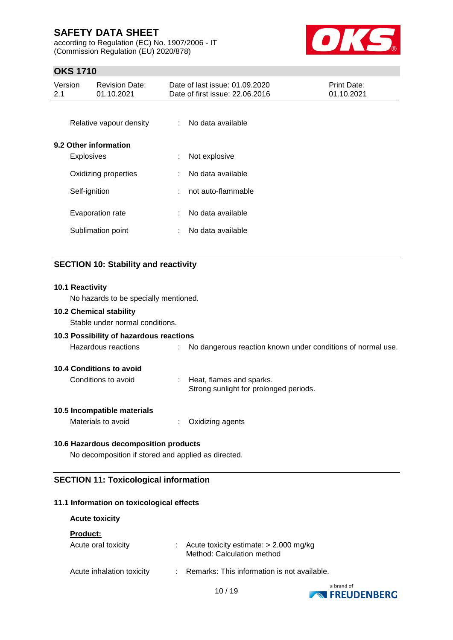according to Regulation (EC) No. 1907/2006 - IT (Commission Regulation (EU) 2020/878)



## **OKS 1710**

| Version<br>2.1                        |                   | <b>Revision Date:</b><br>01.10.2021 |                    | Date of last issue: 01.09.2020<br>Date of first issue: 22.06.2016 | Print Date:<br>01.10.2021 |
|---------------------------------------|-------------------|-------------------------------------|--------------------|-------------------------------------------------------------------|---------------------------|
|                                       |                   | Relative vapour density             | ÷                  | No data available                                                 |                           |
|                                       | <b>Explosives</b> | 9.2 Other information               | ÷                  | Not explosive                                                     |                           |
| Oxidizing properties<br>Self-ignition |                   | ÷                                   | No data available  |                                                                   |                           |
|                                       |                   | ÷                                   | not auto-flammable |                                                                   |                           |
|                                       |                   | Evaporation rate                    | ÷                  | No data available                                                 |                           |
|                                       |                   | Sublimation point                   | ÷                  | No data available                                                 |                           |
|                                       |                   |                                     |                    |                                                                   |                           |

## **SECTION 10: Stability and reactivity**

# **10.1 Reactivity** No hazards to be specially mentioned. **10.2 Chemical stability**

Stable under normal conditions.

#### **10.3 Possibility of hazardous reactions**

| Hazardous reactions | No dangerous reaction known under conditions of normal use. |
|---------------------|-------------------------------------------------------------|
|                     |                                                             |

#### **10.4 Conditions to avoid**

| Conditions to avoid | Heat, flames and sparks.               |
|---------------------|----------------------------------------|
|                     | Strong sunlight for prolonged periods. |

### **10.5 Incompatible materials**

| Materials to avoid | Oxidizing agents |
|--------------------|------------------|
|--------------------|------------------|

### **10.6 Hazardous decomposition products**

No decomposition if stored and applied as directed.

### **SECTION 11: Toxicological information**

### **11.1 Information on toxicological effects**

#### **Acute toxicity**

**Product:**

| Acute oral toxicity       | $\therefore$ Acute toxicity estimate: $> 2.000$ mg/kg<br>Method: Calculation method |
|---------------------------|-------------------------------------------------------------------------------------|
| Acute inhalation toxicity | : Remarks: This information is not available.                                       |

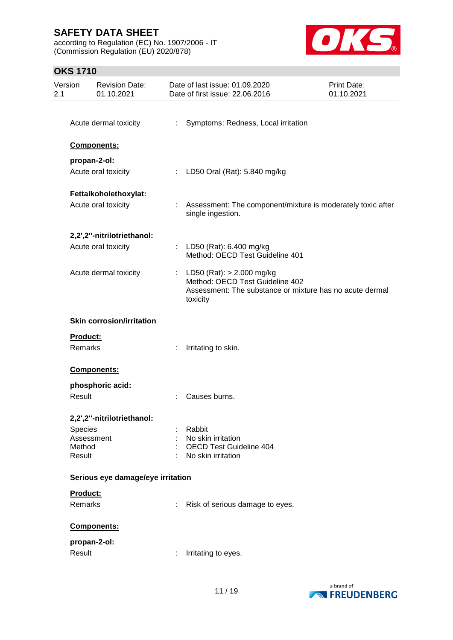according to Regulation (EC) No. 1907/2006 - IT (Commission Regulation (EU) 2020/878)



## **OKS 1710**

| Version<br>2.1 | <b>Revision Date:</b><br>01.10.2021 |                               | Date of last issue: 01.09.2020<br>Date of first issue: 22.06.2016                                                                    | <b>Print Date:</b><br>01.10.2021 |
|----------------|-------------------------------------|-------------------------------|--------------------------------------------------------------------------------------------------------------------------------------|----------------------------------|
|                |                                     |                               |                                                                                                                                      |                                  |
|                | Acute dermal toxicity               | ÷.                            | Symptoms: Redness, Local irritation                                                                                                  |                                  |
|                | Components:                         |                               |                                                                                                                                      |                                  |
|                | propan-2-ol:                        |                               |                                                                                                                                      |                                  |
|                | Acute oral toxicity                 | $\mathbb{Z}^{\mathbb{Z}^n}$ . | LD50 Oral (Rat): 5.840 mg/kg                                                                                                         |                                  |
|                | Fettalkoholethoxylat:               |                               |                                                                                                                                      |                                  |
|                | Acute oral toxicity                 |                               | Assessment: The component/mixture is moderately toxic after<br>single ingestion.                                                     |                                  |
|                | 2,2',2"-nitrilotriethanol:          |                               |                                                                                                                                      |                                  |
|                | Acute oral toxicity                 |                               | : LD50 (Rat): 6.400 mg/kg<br>Method: OECD Test Guideline 401                                                                         |                                  |
|                | Acute dermal toxicity               | ÷.                            | LD50 (Rat): > 2.000 mg/kg<br>Method: OECD Test Guideline 402<br>Assessment: The substance or mixture has no acute dermal<br>toxicity |                                  |
|                | <b>Skin corrosion/irritation</b>    |                               |                                                                                                                                      |                                  |
| Product:       |                                     |                               |                                                                                                                                      |                                  |
| Remarks        |                                     | ÷                             | Irritating to skin.                                                                                                                  |                                  |
|                | Components:                         |                               |                                                                                                                                      |                                  |
|                | phosphoric acid:                    |                               |                                                                                                                                      |                                  |
| Result         |                                     |                               | Causes burns.                                                                                                                        |                                  |
|                | 2,2',2"-nitrilotriethanol:          |                               |                                                                                                                                      |                                  |
| <b>Species</b> |                                     |                               | Rabbit                                                                                                                               |                                  |
| Method         | Assessment                          |                               | No skin irritation<br><b>OECD Test Guideline 404</b>                                                                                 |                                  |
| Result         |                                     |                               | No skin irritation                                                                                                                   |                                  |
|                | Serious eye damage/eye irritation   |                               |                                                                                                                                      |                                  |
| Product:       |                                     |                               |                                                                                                                                      |                                  |
| Remarks        |                                     |                               | Risk of serious damage to eyes.                                                                                                      |                                  |
|                | Components:                         |                               |                                                                                                                                      |                                  |
|                | propan-2-ol:                        |                               |                                                                                                                                      |                                  |
| Result         |                                     | ÷                             | Irritating to eyes.                                                                                                                  |                                  |
|                |                                     |                               |                                                                                                                                      |                                  |

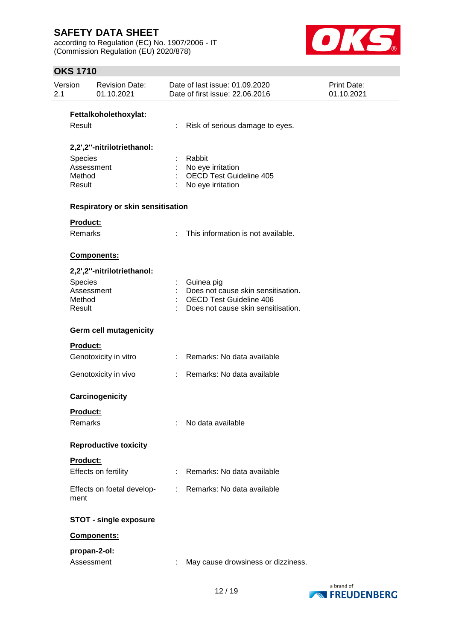according to Regulation (EC) No. 1907/2006 - IT (Commission Regulation (EU) 2020/878)



## **OKS 1710**

| Version<br>2.1                     | <b>Revision Date:</b><br>01.10.2021 |    | Date of last issue: 01.09.2020<br>Date of first issue: 22.06.2016                                                        | Print Date:<br>01.10.2021 |
|------------------------------------|-------------------------------------|----|--------------------------------------------------------------------------------------------------------------------------|---------------------------|
|                                    | Fettalkoholethoxylat:               |    |                                                                                                                          |                           |
| Result                             |                                     |    | Risk of serious damage to eyes.                                                                                          |                           |
|                                    | 2,2',2"-nitrilotriethanol:          |    |                                                                                                                          |                           |
| <b>Species</b><br>Method<br>Result | Assessment                          |    | Rabbit<br>No eye irritation<br><b>OECD Test Guideline 405</b><br>No eye irritation                                       |                           |
|                                    | Respiratory or skin sensitisation   |    |                                                                                                                          |                           |
|                                    | Product:                            |    |                                                                                                                          |                           |
|                                    | Remarks                             |    | This information is not available.                                                                                       |                           |
|                                    | Components:                         |    |                                                                                                                          |                           |
|                                    | 2,2',2"-nitrilotriethanol:          |    |                                                                                                                          |                           |
| <b>Species</b><br>Method<br>Result | Assessment                          |    | Guinea pig<br>Does not cause skin sensitisation.<br><b>OECD Test Guideline 406</b><br>Does not cause skin sensitisation. |                           |
|                                    | <b>Germ cell mutagenicity</b>       |    |                                                                                                                          |                           |
|                                    | Product:                            |    |                                                                                                                          |                           |
|                                    | Genotoxicity in vitro               |    | : Remarks: No data available                                                                                             |                           |
|                                    | Genotoxicity in vivo                |    | Remarks: No data available                                                                                               |                           |
|                                    | Carcinogenicity                     |    |                                                                                                                          |                           |
|                                    | <b>Product:</b><br>Remarks          |    | No data available                                                                                                        |                           |
|                                    | <b>Reproductive toxicity</b>        |    |                                                                                                                          |                           |
|                                    | Product:<br>Effects on fertility    | t. | Remarks: No data available                                                                                               |                           |
| ment                               | Effects on foetal develop-          |    | : Remarks: No data available                                                                                             |                           |
|                                    | <b>STOT - single exposure</b>       |    |                                                                                                                          |                           |
|                                    | Components:                         |    |                                                                                                                          |                           |
|                                    | propan-2-ol:                        |    |                                                                                                                          |                           |
|                                    | Assessment                          |    | May cause drowsiness or dizziness.                                                                                       |                           |

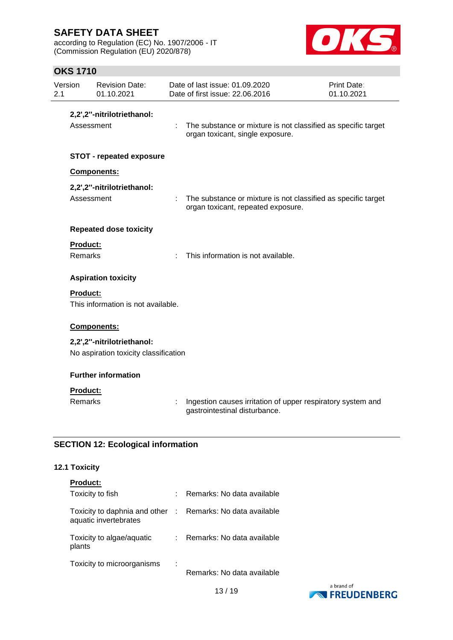according to Regulation (EC) No. 1907/2006 - IT (Commission Regulation (EU) 2020/878)



## **OKS 1710**

| Version<br>2.1 |                 | <b>Revision Date:</b><br>01.10.2021                                 | Date of last issue: 01.09.2020<br>Date of first issue: 22.06.2016                                   | Print Date:<br>01.10.2021 |
|----------------|-----------------|---------------------------------------------------------------------|-----------------------------------------------------------------------------------------------------|---------------------------|
|                | Assessment      | 2,2',2"-nitrilotriethanol:                                          | : The substance or mixture is not classified as specific target<br>organ toxicant, single exposure. |                           |
|                |                 | <b>STOT - repeated exposure</b>                                     |                                                                                                     |                           |
|                |                 | <b>Components:</b>                                                  |                                                                                                     |                           |
|                | Assessment      | 2,2',2"-nitrilotriethanol:                                          | The substance or mixture is not classified as specific target<br>organ toxicant, repeated exposure. |                           |
|                |                 | <b>Repeated dose toxicity</b>                                       |                                                                                                     |                           |
|                | Product:        |                                                                     |                                                                                                     |                           |
|                | Remarks         |                                                                     | This information is not available.                                                                  |                           |
|                |                 | <b>Aspiration toxicity</b>                                          |                                                                                                     |                           |
|                | <b>Product:</b> | This information is not available.                                  |                                                                                                     |                           |
|                |                 | Components:                                                         |                                                                                                     |                           |
|                |                 | 2,2',2"-nitrilotriethanol:<br>No aspiration toxicity classification |                                                                                                     |                           |
|                |                 | <b>Further information</b>                                          |                                                                                                     |                           |
|                | Product:        |                                                                     |                                                                                                     |                           |
|                | <b>Remarks</b>  |                                                                     | Ingestion causes irritation of upper respiratory system and<br>gastrointestinal disturbance.        |                           |

## **SECTION 12: Ecological information**

### **12.1 Toxicity**

| <b>Product:</b>                                                                     |    |                              |              |  |
|-------------------------------------------------------------------------------------|----|------------------------------|--------------|--|
| Toxicity to fish                                                                    | ÷. | Remarks: No data available   |              |  |
| Toxicity to daphnia and other : Remarks: No data available<br>aquatic invertebrates |    |                              |              |  |
| Toxicity to algae/aquatic<br>plants                                                 |    | : Remarks: No data available |              |  |
| Toxicity to microorganisms                                                          | ÷  | Remarks: No data available   | . <i>. .</i> |  |

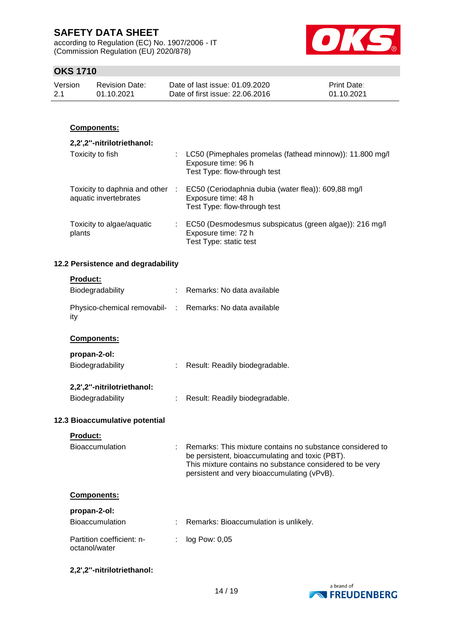according to Regulation (EC) No. 1907/2006 - IT (Commission Regulation (EU) 2020/878)



## **OKS 1710**

| Version | <b>Revision Date:</b> | Date of last issue: 01.09.2020  | <b>Print Date:</b> |
|---------|-----------------------|---------------------------------|--------------------|
| 2.1     | 01.10.2021            | Date of first issue: 22,06,2016 | 01.10.2021         |

### **Components:**

#### **2,2',2''-nitrilotriethanol:** Toxicity to fish : LC50 (Pimephales promelas (fathead minnow)): 11.800 mg/l Exposure time: 96 h Test Type: flow-through test Toxicity to daphnia and other aquatic invertebrates : EC50 (Ceriodaphnia dubia (water flea)): 609,88 mg/l Exposure time: 48 h Test Type: flow-through test Toxicity to algae/aquatic plants : EC50 (Desmodesmus subspicatus (green algae)): 216 mg/l Exposure time: 72 h Test Type: static test

### **12.2 Persistence and degradability**

| <b>Product:</b> |  |  |  |
|-----------------|--|--|--|
|                 |  |  |  |

| Biodegradability                                                | : Remarks: No data available                                                                                                                                                                                            |
|-----------------------------------------------------------------|-------------------------------------------------------------------------------------------------------------------------------------------------------------------------------------------------------------------------|
| Physico-chemical removabil- : Remarks: No data available<br>ity |                                                                                                                                                                                                                         |
| <b>Components:</b>                                              |                                                                                                                                                                                                                         |
| propan-2-ol:                                                    |                                                                                                                                                                                                                         |
| Biodegradability                                                | : Result: Readily biodegradable.                                                                                                                                                                                        |
| 2,2',2"-nitrilotriethanol:                                      |                                                                                                                                                                                                                         |
| Biodegradability                                                | Result: Readily biodegradable.                                                                                                                                                                                          |
| 12.3 Bioaccumulative potential                                  |                                                                                                                                                                                                                         |
| <b>Product:</b>                                                 |                                                                                                                                                                                                                         |
| <b>Bioaccumulation</b>                                          | Remarks: This mixture contains no substance considered to<br>be persistent, bioaccumulating and toxic (PBT).<br>This mixture contains no substance considered to be very<br>persistent and very bioaccumulating (vPvB). |
| <b>Components:</b>                                              |                                                                                                                                                                                                                         |
| propan-2-ol:                                                    |                                                                                                                                                                                                                         |
| <b>Bioaccumulation</b>                                          | Remarks: Bioaccumulation is unlikely.                                                                                                                                                                                   |
| Partition coefficient: n-<br>octanol/water                      | log Pow: 0,05                                                                                                                                                                                                           |

**2,2',2''-nitrilotriethanol:**

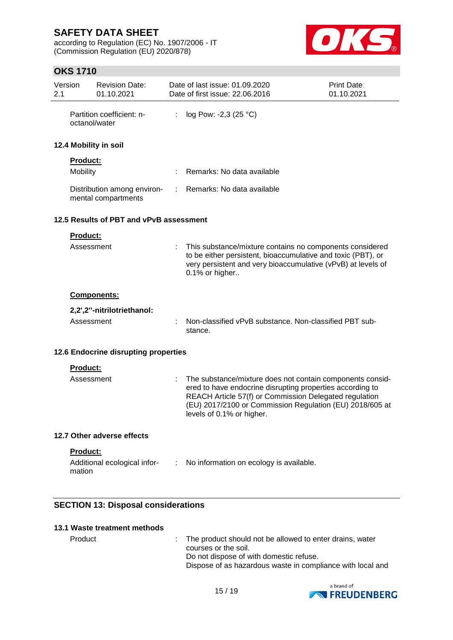according to Regulation (EC) No. 1907/2006 - IT (Commission Regulation (EU) 2020/878)



## **OKS 1710**

| Version<br>2.1 |                                         | <b>Revision Date:</b><br>01.10.2021                |    | Date of last issue: 01.09.2020<br>Date of first issue: 22.06.2016 |                                                                                                                                                                                                                                              | Print Date:<br>01.10.2021 |
|----------------|-----------------------------------------|----------------------------------------------------|----|-------------------------------------------------------------------|----------------------------------------------------------------------------------------------------------------------------------------------------------------------------------------------------------------------------------------------|---------------------------|
|                | octanol/water                           | Partition coefficient: n-                          | ÷  | log Pow: -2,3 (25 $^{\circ}$ C)                                   |                                                                                                                                                                                                                                              |                           |
|                |                                         | 12.4 Mobility in soil                              |    |                                                                   |                                                                                                                                                                                                                                              |                           |
|                | Product:                                |                                                    |    |                                                                   |                                                                                                                                                                                                                                              |                           |
|                | Mobility                                |                                                    |    |                                                                   | Remarks: No data available                                                                                                                                                                                                                   |                           |
|                |                                         | Distribution among environ-<br>mental compartments | ÷. |                                                                   | Remarks: No data available                                                                                                                                                                                                                   |                           |
|                | 12.5 Results of PBT and vPvB assessment |                                                    |    |                                                                   |                                                                                                                                                                                                                                              |                           |
|                | Product:                                |                                                    |    |                                                                   |                                                                                                                                                                                                                                              |                           |
|                | Assessment                              |                                                    |    | 0.1% or higher                                                    | This substance/mixture contains no components considered<br>to be either persistent, bioaccumulative and toxic (PBT), or<br>very persistent and very bioaccumulative (vPvB) at levels of                                                     |                           |
|                |                                         | Components:                                        |    |                                                                   |                                                                                                                                                                                                                                              |                           |
|                |                                         | 2,2',2"-nitrilotriethanol:                         |    |                                                                   |                                                                                                                                                                                                                                              |                           |
|                | Assessment                              |                                                    |    | stance.                                                           | Non-classified vPvB substance. Non-classified PBT sub-                                                                                                                                                                                       |                           |
|                |                                         | 12.6 Endocrine disrupting properties               |    |                                                                   |                                                                                                                                                                                                                                              |                           |
|                | <b>Product:</b>                         |                                                    |    |                                                                   |                                                                                                                                                                                                                                              |                           |
|                | Assessment                              |                                                    |    | levels of 0.1% or higher.                                         | The substance/mixture does not contain components consid-<br>ered to have endocrine disrupting properties according to<br>REACH Article 57(f) or Commission Delegated regulation<br>(EU) 2017/2100 or Commission Regulation (EU) 2018/605 at |                           |
|                |                                         | 12.7 Other adverse effects                         |    |                                                                   |                                                                                                                                                                                                                                              |                           |
|                | <b>Product:</b><br>mation               |                                                    |    |                                                                   | Additional ecological infor- : No information on ecology is available.                                                                                                                                                                       |                           |

## **SECTION 13: Disposal considerations**

### **13.1 Waste treatment methods**

Product : The product should not be allowed to enter drains, water courses or the soil. Do not dispose of with domestic refuse. Dispose of as hazardous waste in compliance with local and

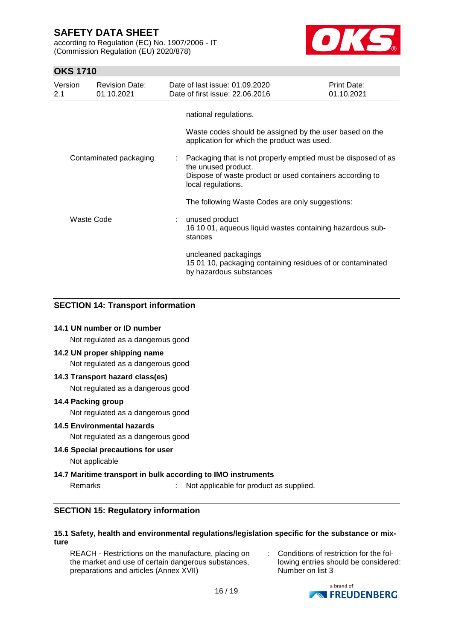according to Regulation (EC) No. 1907/2006 - IT (Commission Regulation (EU) 2020/878)



## **OKS 1710**

| Version<br>2.1 | <b>Revision Date:</b><br>01.10.2021 |   | Date of last issue: 01.09.2020<br>Date of first issue: 22.06.2016                                                                                                      | Print Date:<br>01.10.2021 |
|----------------|-------------------------------------|---|------------------------------------------------------------------------------------------------------------------------------------------------------------------------|---------------------------|
|                |                                     |   | national regulations.                                                                                                                                                  |                           |
|                |                                     |   | Waste codes should be assigned by the user based on the<br>application for which the product was used.                                                                 |                           |
|                | Contaminated packaging              | ÷ | Packaging that is not properly emptied must be disposed of as<br>the unused product.<br>Dispose of waste product or used containers according to<br>local regulations. |                           |
|                |                                     |   | The following Waste Codes are only suggestions:                                                                                                                        |                           |
| Waste Code     |                                     |   | unused product<br>16 10 01, aqueous liquid wastes containing hazardous sub-<br>stances                                                                                 |                           |
|                |                                     |   | uncleaned packagings<br>15 01 10, packaging containing residues of or contaminated<br>by hazardous substances                                                          |                           |

### **SECTION 14: Transport information**

### **14.1 UN number or ID number**

Not regulated as a dangerous good

### **14.2 UN proper shipping name**

Not regulated as a dangerous good

#### **14.3 Transport hazard class(es)**

Not regulated as a dangerous good

#### **14.4 Packing group**

Not regulated as a dangerous good

#### **14.5 Environmental hazards**

Not regulated as a dangerous good

### **14.6 Special precautions for user**

Not applicable

### **14.7 Maritime transport in bulk according to IMO instruments**

Remarks : Not applicable for product as supplied.

### **SECTION 15: Regulatory information**

#### **15.1 Safety, health and environmental regulations/legislation specific for the substance or mixture**

REACH - Restrictions on the manufacture, placing on the market and use of certain dangerous substances, preparations and articles (Annex XVII)

: Conditions of restriction for the following entries should be considered: Number on list 3

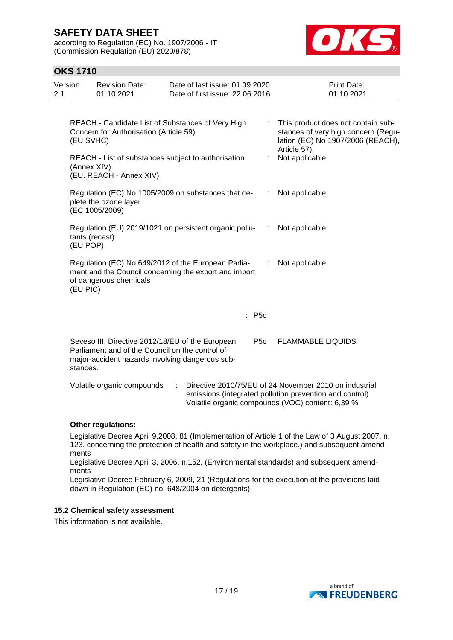according to Regulation (EC) No. 1907/2006 - IT (Commission Regulation (EU) 2020/878)



## **OKS 1710**

| Version<br>2.1 | <b>Revision Date:</b><br>01.10.2021                                                                                                                                | Date of last issue: 01.09.2020<br>Date of first issue: 22.06.2016                                            |           | <b>Print Date:</b><br>01.10.2021                                                                                                                                      |
|----------------|--------------------------------------------------------------------------------------------------------------------------------------------------------------------|--------------------------------------------------------------------------------------------------------------|-----------|-----------------------------------------------------------------------------------------------------------------------------------------------------------------------|
|                | Concern for Authorisation (Article 59).<br>(EU SVHC)                                                                                                               | REACH - Candidate List of Substances of Very High                                                            | ÷         | This product does not contain sub-<br>stances of very high concern (Regu-<br>lation (EC) No 1907/2006 (REACH),<br>Article 57).                                        |
|                | REACH - List of substances subject to authorisation<br>(Annex XIV)<br>(EU. REACH - Annex XIV)                                                                      |                                                                                                              |           | Not applicable                                                                                                                                                        |
|                | plete the ozone layer<br>(EC 1005/2009)                                                                                                                            | Regulation (EC) No 1005/2009 on substances that de-                                                          | ÷         | Not applicable                                                                                                                                                        |
|                | tants (recast)<br>(EU POP)                                                                                                                                         | Regulation (EU) 2019/1021 on persistent organic pollu-                                                       | $\sim$ 10 | Not applicable                                                                                                                                                        |
|                | of dangerous chemicals<br>(EU PIC)                                                                                                                                 | Regulation (EC) No 649/2012 of the European Parlia-<br>ment and the Council concerning the export and import | ÷         | Not applicable                                                                                                                                                        |
|                |                                                                                                                                                                    | : P5c                                                                                                        |           |                                                                                                                                                                       |
|                | Seveso III: Directive 2012/18/EU of the European<br>Parliament and of the Council on the control of<br>major-accident hazards involving dangerous sub-<br>stances. | P5c                                                                                                          |           | <b>FLAMMABLE LIQUIDS</b>                                                                                                                                              |
|                | Volatile organic compounds                                                                                                                                         |                                                                                                              |           | Directive 2010/75/EU of 24 November 2010 on industrial<br>emissions (integrated pollution prevention and control)<br>Volatile organic compounds (VOC) content: 6,39 % |

### **Other regulations:**

Legislative Decree April 9,2008, 81 (Implementation of Article 1 of the Law of 3 August 2007, n. 123, concerning the protection of health and safety in the workplace.) and subsequent amendments

Legislative Decree April 3, 2006, n.152, (Environmental standards) and subsequent amendments

Legislative Decree February 6, 2009, 21 (Regulations for the execution of the provisions laid down in Regulation (EC) no. 648/2004 on detergents)

### **15.2 Chemical safety assessment**

This information is not available.

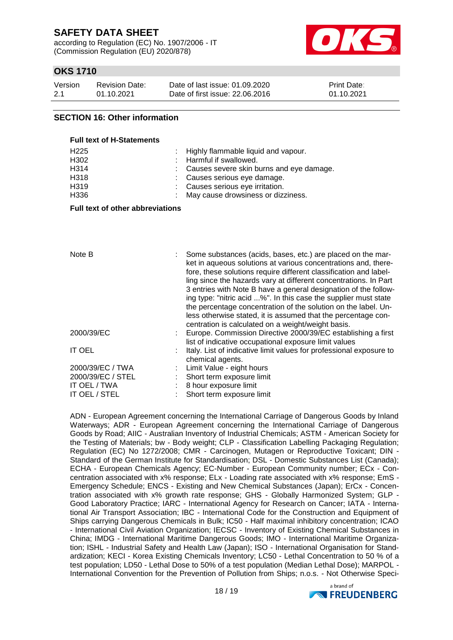according to Regulation (EC) No. 1907/2006 - IT (Commission Regulation (EU) 2020/878)



## **OKS 1710**

| Version | <b>Revision Date:</b> | Date of last issue: 01.09.2020  | <b>Print Date:</b> |
|---------|-----------------------|---------------------------------|--------------------|
| 2.1     | 01.10.2021            | Date of first issue: 22,06,2016 | 01.10.2021         |

#### **SECTION 16: Other information**

**Full text of H-Statements**

| $\overline{1}$ un loat of the oldestic model |                                            |
|----------------------------------------------|--------------------------------------------|
| H <sub>225</sub>                             | : Highly flammable liquid and vapour.      |
| H302                                         | : Harmful if swallowed.                    |
| H314                                         | : Causes severe skin burns and eye damage. |
| H318                                         | : Causes serious eye damage.               |
| H <sub>3</sub> 19                            | : Causes serious eye irritation.           |
| H336                                         | : May cause drowsiness or dizziness.       |
|                                              |                                            |

**Full text of other abbreviations**

| Note B            | Some substances (acids, bases, etc.) are placed on the mar-<br>ket in aqueous solutions at various concentrations and, there-<br>fore, these solutions require different classification and label-<br>ling since the hazards vary at different concentrations. In Part<br>3 entries with Note B have a general designation of the follow-<br>ing type: "nitric acid %". In this case the supplier must state<br>the percentage concentration of the solution on the label. Un-<br>less otherwise stated, it is assumed that the percentage con-<br>centration is calculated on a weight/weight basis. |
|-------------------|-------------------------------------------------------------------------------------------------------------------------------------------------------------------------------------------------------------------------------------------------------------------------------------------------------------------------------------------------------------------------------------------------------------------------------------------------------------------------------------------------------------------------------------------------------------------------------------------------------|
| 2000/39/EC        | Europe. Commission Directive 2000/39/EC establishing a first<br>list of indicative occupational exposure limit values                                                                                                                                                                                                                                                                                                                                                                                                                                                                                 |
| <b>IT OEL</b>     | Italy. List of indicative limit values for professional exposure to<br>chemical agents.                                                                                                                                                                                                                                                                                                                                                                                                                                                                                                               |
| 2000/39/EC / TWA  | Limit Value - eight hours                                                                                                                                                                                                                                                                                                                                                                                                                                                                                                                                                                             |
| 2000/39/EC / STEL | Short term exposure limit                                                                                                                                                                                                                                                                                                                                                                                                                                                                                                                                                                             |
| IT OEL / TWA      | 8 hour exposure limit                                                                                                                                                                                                                                                                                                                                                                                                                                                                                                                                                                                 |
| IT OEL / STEL     | Short term exposure limit                                                                                                                                                                                                                                                                                                                                                                                                                                                                                                                                                                             |

ADN - European Agreement concerning the International Carriage of Dangerous Goods by Inland Waterways; ADR - European Agreement concerning the International Carriage of Dangerous Goods by Road; AIIC - Australian Inventory of Industrial Chemicals; ASTM - American Society for the Testing of Materials; bw - Body weight; CLP - Classification Labelling Packaging Regulation; Regulation (EC) No 1272/2008; CMR - Carcinogen, Mutagen or Reproductive Toxicant; DIN - Standard of the German Institute for Standardisation; DSL - Domestic Substances List (Canada); ECHA - European Chemicals Agency; EC-Number - European Community number; ECx - Concentration associated with x% response; ELx - Loading rate associated with x% response; EmS - Emergency Schedule; ENCS - Existing and New Chemical Substances (Japan); ErCx - Concentration associated with x% growth rate response; GHS - Globally Harmonized System; GLP - Good Laboratory Practice; IARC - International Agency for Research on Cancer; IATA - International Air Transport Association; IBC - International Code for the Construction and Equipment of Ships carrying Dangerous Chemicals in Bulk; IC50 - Half maximal inhibitory concentration; ICAO - International Civil Aviation Organization; IECSC - Inventory of Existing Chemical Substances in China; IMDG - International Maritime Dangerous Goods; IMO - International Maritime Organization; ISHL - Industrial Safety and Health Law (Japan); ISO - International Organisation for Standardization; KECI - Korea Existing Chemicals Inventory; LC50 - Lethal Concentration to 50 % of a test population; LD50 - Lethal Dose to 50% of a test population (Median Lethal Dose); MARPOL - International Convention for the Prevention of Pollution from Ships; n.o.s. - Not Otherwise Speci-